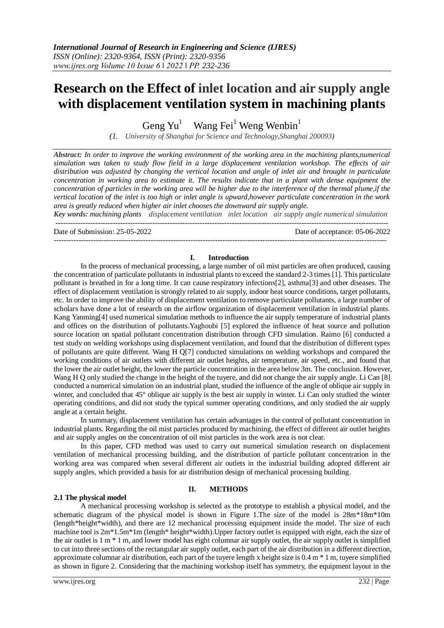# **Research on the Effect of inlet location and air supply angle with displacement ventilation system in machining plants**

Geng  $Yu<sup>1</sup>$ Wang Fei<sup>1</sup> Weng Wenbin<sup>1</sup>

*(1. University of Shanghai for Science and Technology,Shanghai 200093)*

*Abstract: In order to improve the working environment of the working area in the machining plants,numerical simulation was taken to study flow field in a large displacement ventilation workshop. The effects of air distribution was adjusted by changing the vertical location and angle of inlet air and brought in particulate concentration in working area to estimate it. The results indicate that in a plant with dense equipment the concentration of particles in the working area will be higher due to the interference of the thermal plume,if the vertical location of the inlet is too high or inlet angle is upward,however particulate concentration in the work area is greatly reduced when higher air inlet chooses the downward air supply angle.*

*Key words: machining plants displacement ventilation inlet location air supply angle numerical simulation* --------------------------------------------------------------------------------------------------------------------------------------

Date of Submission: 25-05-2022 Date of acceptance: 05-06-2022

# **I. Introduction**

--------------------------------------------------------------------------------------------------------------------------------------

In the process of mechanical processing, a large number of oil mist particles are often produced, causing the concentration of particulate pollutants in industrial plants to exceed the standard 2-3 times [1]. This particulate pollutant is breathed in for a long time. It can cause respiratory infections[2], asthma[3] and other diseases. The effect of displacement ventilation is strongly related to air supply, indoor heat source conditions, target pollutants, etc. In order to improve the ability of displacement ventilation to remove particulate pollutants, a large number of scholars have done a lot of research on the airflow organization of displacement ventilation in industrial plants. Kang Yanming[4] used numerical simulation methods to influence the air supply temperature of industrial plants and offices on the distribution of pollutants.Yaghoubi [5] explored the influence of heat source and pollution source location on spatial pollutant concentration distribution through CFD simulation. Raimo [6] conducted a test study on welding workshops using displacement ventilation, and found that the distribution of different types of pollutants are quite different. Wang H Q[7] conducted simulations on welding workshops and compared the working conditions of air outlets with different air outlet heights, air temperature, air speed, etc., and found that the lower the air outlet height, the lower the particle concentration in the area below 3m. The conclusion. However, Wang H Q only studied the change in the height of the tuyere, and did not change the air supply angle. Li Can [8] conducted a numerical simulation on an industrial plant, studied the influence of the angle of oblique air supply in winter, and concluded that 45° oblique air supply is the best air supply in winter. Li Can only studied the winter operating conditions, and did not study the typical summer operating conditions, and only studied the air supply angle at a certain height.

In summary, displacement ventilation has certain advantages in the control of pollutant concentration in industrial plants. Regarding the oil mist particles produced by machining, the effect of different air outlet heights and air supply angles on the concentration of oil mist particles in the work area is not clear.

In this paper, CFD method was used to carry out numerical simulation research on displacement ventilation of mechanical processing building, and the distribution of particle pollutant concentration in the working area was compared when several different air outlets in the industrial building adopted different air supply angles, which provided a basis for air distribution design of mechanical processing building.

# **2.1 The physical model**

# **II. METHODS**

A mechanical processing workshop is selected as the prototype to establish a physical model, and the schematic diagram of the physical model is shown in Figure 1.The size of the model is 28m\*18m\*10m (length\*height\*width), and there are 12 mechanical processing equipment inside the model. The size of each machine tool is  $2m*1.5m*1m$  (length\* height\*width). Upper factory outlet is equipped with eight, each the size of the air outlet is  $1 \text{ m} * 1 \text{ m}$ , and lower model has eight columnar air supply outlet, the air supply outlet is simplified to cut into three sections of the rectangular air supply outlet, each part of the air distribution in a different direction, approximate columnar air distribution, each part of the tuyere length x height size is 0.4 m \* 1 m, tuyere simplified as shown in figure 2. Considering that the machining workshop itself has symmetry, the equipment layout in the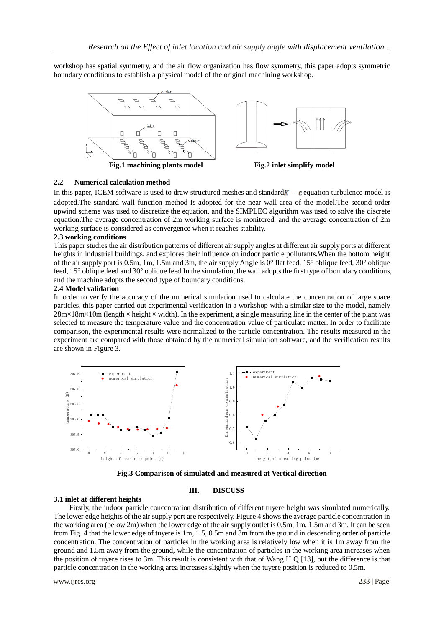workshop has spatial symmetry, and the air flow organization has flow symmetry, this paper adopts symmetric boundary conditions to establish a physical model of the original machining workshop.



# **2.2 Numerical calculation method**

In this paper, ICEM software is used to draw structured meshes and standard  $K - \varepsilon$  equation turbulence model is adopted.The standard wall function method is adopted for the near wall area of the model.The second-order upwind scheme was used to discretize the equation, and the SIMPLEC algorithm was used to solve the discrete equation.The average concentration of 2m working surface is monitored, and the average concentration of 2m working surface is considered as convergence when it reaches stability.

### **2.3 working conditions**

This paper studies the air distribution patterns of different air supply angles at different air supply ports at different heights in industrial buildings, and explores their influence on indoor particle pollutants.When the bottom height of the air supply port is 0.5m, 1m, 1.5m and 3m, the air supply Angle is 0° flat feed, 15° oblique feed, 30° oblique feed, 15° oblique feed and 30° oblique feed.In the simulation, the wall adopts the first type of boundary conditions, and the machine adopts the second type of boundary conditions.

#### **2.4 Model validation**

In order to verify the accuracy of the numerical simulation used to calculate the concentration of large space particles, this paper carried out experimental verification in a workshop with a similar size to the model, namely  $28m \times 18m \times 10m$  (length  $\times$  height  $\times$  width). In the experiment, a single measuring line in the center of the plant was selected to measure the temperature value and the concentration value of particulate matter. In order to facilitate comparison, the experimental results were normalized to the particle concentration. The results measured in the experiment are compared with those obtained by the numerical simulation software, and the verification results are shown in Figure 3.



**Fig.3 Comparison of simulated and measured at Vertical direction**

# **III. DISCUSS**

# **3.1 inlet at different heights**

Firstly, the indoor particle concentration distribution of different tuyere height was simulated numerically. The lower edge heights of the air supply port are respectively. Figure 4 shows the average particle concentration in the working area (below 2m) when the lower edge of the air supply outlet is 0.5m, 1m, 1.5m and 3m. It can be seen from Fig. 4 that the lower edge of tuyere is 1m, 1.5, 0.5m and 3m from the ground in descending order of particle concentration. The concentration of particles in the working area is relatively low when it is 1m away from the ground and 1.5m away from the ground, while the concentration of particles in the working area increases when the position of tuyere rises to 3m. This result is consistent with that of Wang H Q [13], but the difference is that particle concentration in the working area increases slightly when the tuyere position is reduced to 0.5m.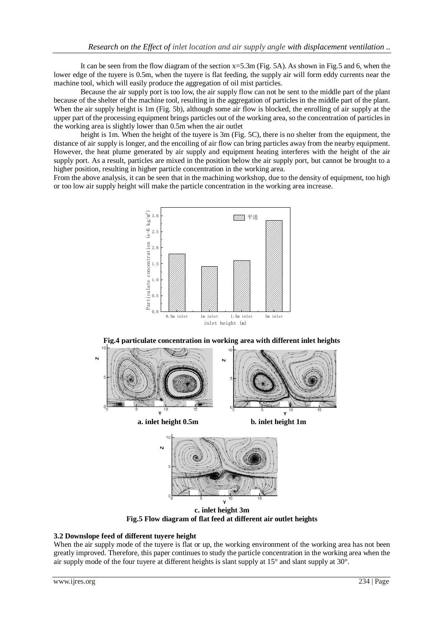It can be seen from the flow diagram of the section x=5.3m (Fig. 5A). As shown in Fig.5 and 6, when the lower edge of the tuyere is 0.5m, when the tuyere is flat feeding, the supply air will form eddy currents near the machine tool, which will easily produce the aggregation of oil mist particles.

Because the air supply port is too low, the air supply flow can not be sent to the middle part of the plant because of the shelter of the machine tool, resulting in the aggregation of particles in the middle part of the plant. When the air supply height is 1m (Fig. 5b), although some air flow is blocked, the enrolling of air supply at the upper part of the processing equipment brings particles out of the working area, so the concentration of particles in the working area is slightly lower than 0.5m when the air outlet

height is 1m. When the height of the tuyere is 3m (Fig. 5C), there is no shelter from the equipment, the distance of air supply is longer, and the encoiling of air flow can bring particles away from the nearby equipment. However, the heat plume generated by air supply and equipment heating interferes with the height of the air supply port. As a result, particles are mixed in the position below the air supply port, but cannot be brought to a higher position, resulting in higher particle concentration in the working area.

From the above analysis, it can be seen that in the machining workshop, due to the density of equipment, too high or too low air supply height will make the particle concentration in the working area increase.





**Fig.4 particulate concentration in working area with different inlet heights** 

**c. inlet height 3m Fig.5 Flow diagram of flat feed at different air outlet heights**

# **3.2 Downslope feed of different tuyere height**

When the air supply mode of the tuyere is flat or up, the working environment of the working area has not been greatly improved. Therefore, this paper continues to study the particle concentration in the working area when the air supply mode of the four tuyere at different heights is slant supply at 15° and slant supply at 30°.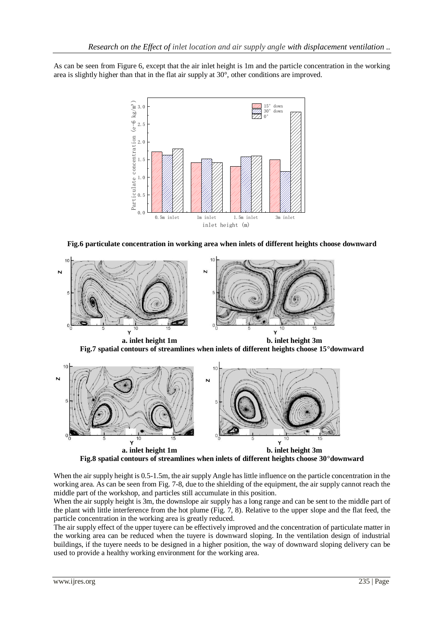As can be seen from Figure 6, except that the air inlet height is 1m and the particle concentration in the working area is slightly higher than that in the flat air supply at 30°, other conditions are improved.



**Fig.6 particulate concentration in working area when inlets of different heights choose downward**



**a. inlet height 1m b. inlet height 3m Fig.7 spatial contours of streamlines when inlets of different heights choose 15°downward** 



**Fig.8 spatial contours of streamlines when inlets of different heights choose 30°downward**

When the air supply height is 0.5-1.5m, the air supply Angle has little influence on the particle concentration in the working area. As can be seen from Fig. 7-8, due to the shielding of the equipment, the air supply cannot reach the middle part of the workshop, and particles still accumulate in this position.

When the air supply height is 3m, the downslope air supply has a long range and can be sent to the middle part of the plant with little interference from the hot plume (Fig. 7, 8). Relative to the upper slope and the flat feed, the particle concentration in the working area is greatly reduced.

The air supply effect of the upper tuyere can be effectively improved and the concentration of particulate matter in the working area can be reduced when the tuyere is downward sloping. In the ventilation design of industrial buildings, if the tuyere needs to be designed in a higher position, the way of downward sloping delivery can be used to provide a healthy working environment for the working area.